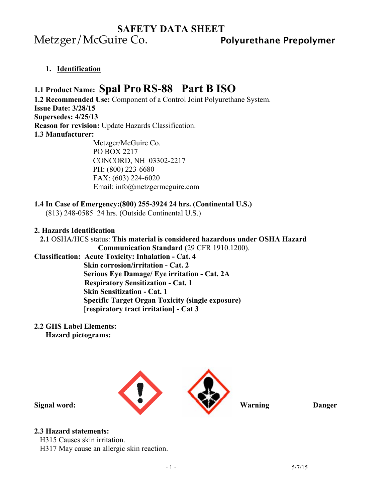# **SAFETY DATA SHEET** Metzger/McGuire Co. **Polyurethane Prepolymer**

**1. Identification** 

# **1.1 Product Name: Spal Pro RS-88 Part B ISO**

**1.2 Recommended Use:** Component of a Control Joint Polyurethane System. **Issue Date: 3/28/15 Supersedes: 4/25/13 Reason for revision:** Update Hazards Classification. **1.3 Manufacturer:** Metzger/McGuire Co.

 PO BOX 2217 CONCORD, NH 03302-2217 PH: (800) 223-6680 FAX: (603) 224-6020 Email: info@metzgermcguire.com

## **1.4 In Case of Emergency:(800) 255-3924 24 hrs. (Continental U.S.)**

(813) 248-0585 24 hrs. (Outside Continental U.S.)

### **2. Hazards Identification**

# **2.1** OSHA/HCS status: **This material is considered hazardous under OSHA Hazard**

 **Communication Standard** (29 CFR 1910.1200). **Classification: Acute Toxicity: Inhalation - Cat. 4 Skin corrosion/irritation - Cat. 2 Serious Eye Damage/ Eye irritation - Cat. 2A Respiratory Sensitization - Cat. 1 Skin Sensitization - Cat. 1 Specific Target Organ Toxicity (single exposure) [respiratory tract irritation] - Cat 3** 

### **2.2 GHS Label Elements:**

 **Hazard pictograms:** 



## **2.3 Hazard statements:**

H315 Causes skin irritation.

H317 May cause an allergic skin reaction.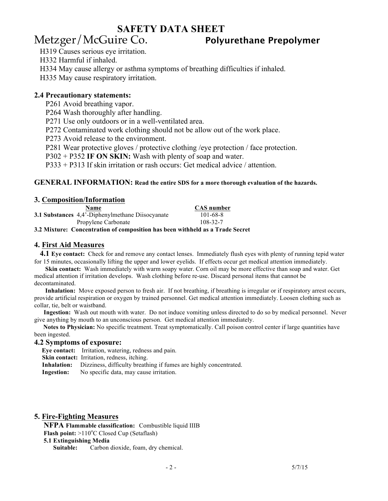# Metzger/McGuire Co. **Polyurethane Prepolymer**

H319 Causes serious eye irritation.

H332 Harmful if inhaled.

H334 May cause allergy or asthma symptoms of breathing difficulties if inhaled.

H335 May cause respiratory irritation.

## **2.4 Precautionary statements:**

P261 Avoid breathing vapor.

P264 Wash thoroughly after handling.

P271 Use only outdoors or in a well-ventilated area.

P272 Contaminated work clothing should not be allow out of the work place.

P273 Avoid release to the environment.

P281 Wear protective gloves / protective clothing /eye protection / face protection.

P302 + P352 **IF ON SKIN:** Wash with plenty of soap and water.

P333 + P313 If skin irritation or rash occurs: Get medical advice / attention.

#### **GENERAL INFORMATION: Read the entire SDS for a more thorough evaluation of the hazards.**

#### **3. Composition/Information**

| <b>Name</b>                                            | <b>CAS</b> number |
|--------------------------------------------------------|-------------------|
| <b>3.1 Substances</b> 4,4'-Diphenylmethane Disocyanate | 101-68-8          |
| Propylene Carbonate                                    | 108-32-7          |
| $\sim$ $\sim$ $\sim$ $\sim$<br>.                       |                   |

**3.2 Mixture: Concentration of composition has been withheld as a Trade Secret**

#### **4. First Aid Measures**

 **4.1 Eye contact:** Check for and remove any contact lenses. Immediately flush eyes with plenty of running tepid water for 15 minutes, occasionally lifting the upper and lower eyelids. If effects occur get medical attention immediately.

**Skin contact:** Wash immediately with warm soapy water. Corn oil may be more effective than soap and water. Get medical attention if irritation develops. Wash clothing before re-use. Discard personal items that cannot be decontaminated.

 **Inhalation:** Move exposed person to fresh air. If not breathing, if breathing is irregular or if respiratory arrest occurs, provide artificial respiration or oxygen by trained personnel. Get medical attention immediately. Loosen clothing such as collar, tie, belt or waistband.

 **Ingestion:** Wash out mouth with water. Do not induce vomiting unless directed to do so by medical personnel. Never give anything by mouth to an unconscious person. Get medical attention immediately.

**Notes to Physician:** No specific treatment. Treat symptomatically. Call poison control center if large quantities have been ingested.

#### **4.2 Symptoms of exposure:**

 **Eye contact:** Irritation, watering, redness and pain.

**Skin contact:** Irritation, redness, itching.

**Inhalation:** Dizziness, difficulty breathing if fumes are highly concentrated.

**Ingestion:** No specific data, may cause irritation.

#### **5. Fire-Fighting Measures**

**NFPA Flammable classification:** Combustible liquid IIIB **Flash point:** >110°C Closed Cup (Setaflash)

#### **5.1 Extinguishing Media**

 **Suitable:** Carbon dioxide, foam, dry chemical.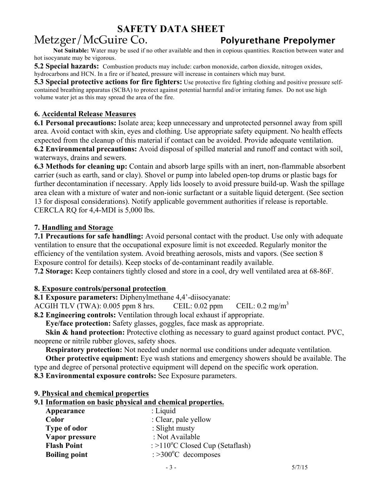# Metzger/McGuire Co. **Polyurethane Prepolymer**

 **Not Suitable:** Water may be used if no other available and then in copious quantities. Reaction between water and hot isocyanate may be vigorous.

**5.2 Special hazards:** Combustion products may include: carbon monoxide, carbon dioxide, nitrogen oxides, hydrocarbons and HCN. In a fire or if heated, pressure will increase in containers which may burst.

**5.3 Special protective actions for fire fighters:** Use protective fire fighting clothing and positive pressure selfcontained breathing apparatus (SCBA) to protect against potential harmful and/or irritating fumes. Do not use high volume water jet as this may spread the area of the fire.

## **6. Accidental Release Measures**

**6.1 Personal precautions:** Isolate area; keep unnecessary and unprotected personnel away from spill area. Avoid contact with skin, eyes and clothing. Use appropriate safety equipment. No health effects expected from the cleanup of this material if contact can be avoided. Provide adequate ventilation. **6.2 Environmental precautions:** Avoid disposal of spilled material and runoff and contact with soil,

waterways, drains and sewers.

**6.3 Methods for cleaning up:** Contain and absorb large spills with an inert, non-flammable absorbent carrier (such as earth, sand or clay). Shovel or pump into labeled open-top drums or plastic bags for further decontamination if necessary. Apply lids loosely to avoid pressure build-up. Wash the spillage area clean with a mixture of water and non-ionic surfactant or a suitable liquid detergent. (See section 13 for disposal considerations). Notify applicable government authorities if release is reportable. CERCLA RQ for 4,4-MDI is 5,000 lbs.

## **7. Handling and Storage**

**7.1 Precautions for safe handling:** Avoid personal contact with the product. Use only with adequate ventilation to ensure that the occupational exposure limit is not exceeded. Regularly monitor the efficiency of the ventilation system. Avoid breathing aerosols, mists and vapors. (See section 8 Exposure control for details). Keep stocks of de-contaminant readily available.

**7.2 Storage:** Keep containers tightly closed and store in a cool, dry well ventilated area at 68-86F.

## **8. Exposure controls/personal protection**

**8.1 Exposure parameters:** Diphenylmethane 4,4'-diisocyanate:

ACGIH TLV (TWA): 0.005 ppm 8 hrs. CEIL: 0.02 ppm CEIL: 0.2 mg/m<sup>3</sup>

**8.2 Engineering controls:** Ventilation through local exhaust if appropriate.

**Eye/face protection:** Safety glasses, goggles, face mask as appropriate.

**Skin & hand protection:** Protective clothing as necessary to guard against product contact. PVC, neoprene or nitrile rubber gloves, safety shoes.

**Respiratory protection:** Not needed under normal use conditions under adequate ventilation.

 **Other protective equipment:** Eye wash stations and emergency showers should be available. The type and degree of personal protective equipment will depend on the specific work operation.

**8.3 Environmental exposure controls:** See Exposure parameters.

### **9. Physical and chemical properties**

### **9.1 Information on basic physical and chemical properties.**

| Appearance           | $:$ Liquid                                |
|----------------------|-------------------------------------------|
| Color                | : Clear, pale yellow                      |
| <b>Type of odor</b>  | : Slight musty                            |
| Vapor pressure       | : Not Available                           |
| <b>Flash Point</b>   | : $>110^{\circ}$ C Closed Cup (Setaflash) |
| <b>Boiling point</b> | $\approx$ >300 $^{\circ}$ C decomposes    |
|                      |                                           |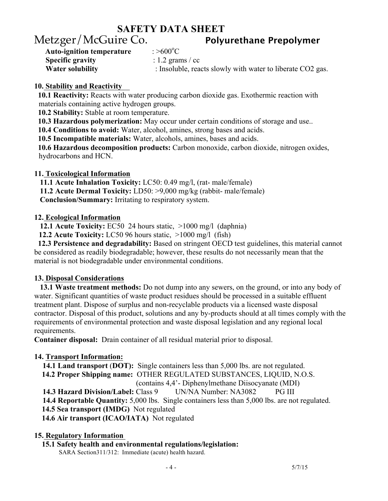:  $>600^{\circ}$ C

# Metzger/McGuire Co. **Polyurethane Prepolymer**

**Auto-ignition temperature Specific gravity** : 1.2 grams / cc

**Water solubility** : Insoluble, reacts slowly with water to liberate CO2 gas.

## **10. Stability and Reactivity**

 **10.1 Reactivity:** Reacts with water producing carbon dioxide gas. Exothermic reaction with materials containing active hydrogen groups.

 **10.2 Stability:** Stable at room temperature.

**10.3 Hazardous polymerization:** May occur under certain conditions of storage and use..

**10.4 Conditions to avoid:** Water, alcohol, amines, strong bases and acids.

**10.5 Incompatible materials:** Water, alcohols, amines, bases and acids.

 **10.6 Hazardous decomposition products:** Carbon monoxide, carbon dioxide, nitrogen oxides, hydrocarbons and HCN.

## **11. Toxicological Information**

 **11.1 Acute Inhalation Toxicity:** LC50: 0.49 mg/l, (rat- male/female) **11.2 Acute Dermal Toxicity:** LD50: >9,000 mg/kg (rabbit- male/female) **Conclusion/Summary:** Irritating to respiratory system.

## **12. Ecological Information**

**12.1 Acute Toxicity:** EC50 24 hours static, >1000 mg/l (daphnia)

**12.2 Acute Toxicity:** LC50 96 hours static, >1000 mg/l (fish)

 **12.3 Persistence and degradability:** Based on stringent OECD test guidelines, this material cannot be considered as readily biodegradable; however, these results do not necessarily mean that the material is not biodegradable under environmental conditions.

## **13. Disposal Considerations**

 **13.1 Waste treatment methods:** Do not dump into any sewers, on the ground, or into any body of water. Significant quantities of waste product residues should be processed in a suitable effluent treatment plant. Dispose of surplus and non-recyclable products via a licensed waste disposal contractor. Disposal of this product, solutions and any by-products should at all times comply with the requirements of environmental protection and waste disposal legislation and any regional local requirements.

**Container disposal:** Drain container of all residual material prior to disposal.

## **14. Transport Information:**

**14.1 Land transport** (**DOT):** Single containers less than 5,000 lbs. are not regulated. **14.2 Proper Shipping name:** OTHER REGULATED SUBSTANCES, LIQUID, N.O.S. (contains 4,4'- Diphenylmethane Diisocyanate (MDI) **14.3 Hazard Division/Label:** Class 9 UN/NA Number: NA3082 PG III **14.4 Reportable Quantity:** 5,000 lbs. Single containers less than 5,000 lbs. are not regulated. **14.5 Sea transport (IMDG)** Not regulated **14.6 Air transport (ICAO/IATA)** Not regulated

## **15. Regulatory Information**

 **15.1 Safety health and environmental regulations/legislation:** SARA Section311/312: Immediate (acute) health hazard.